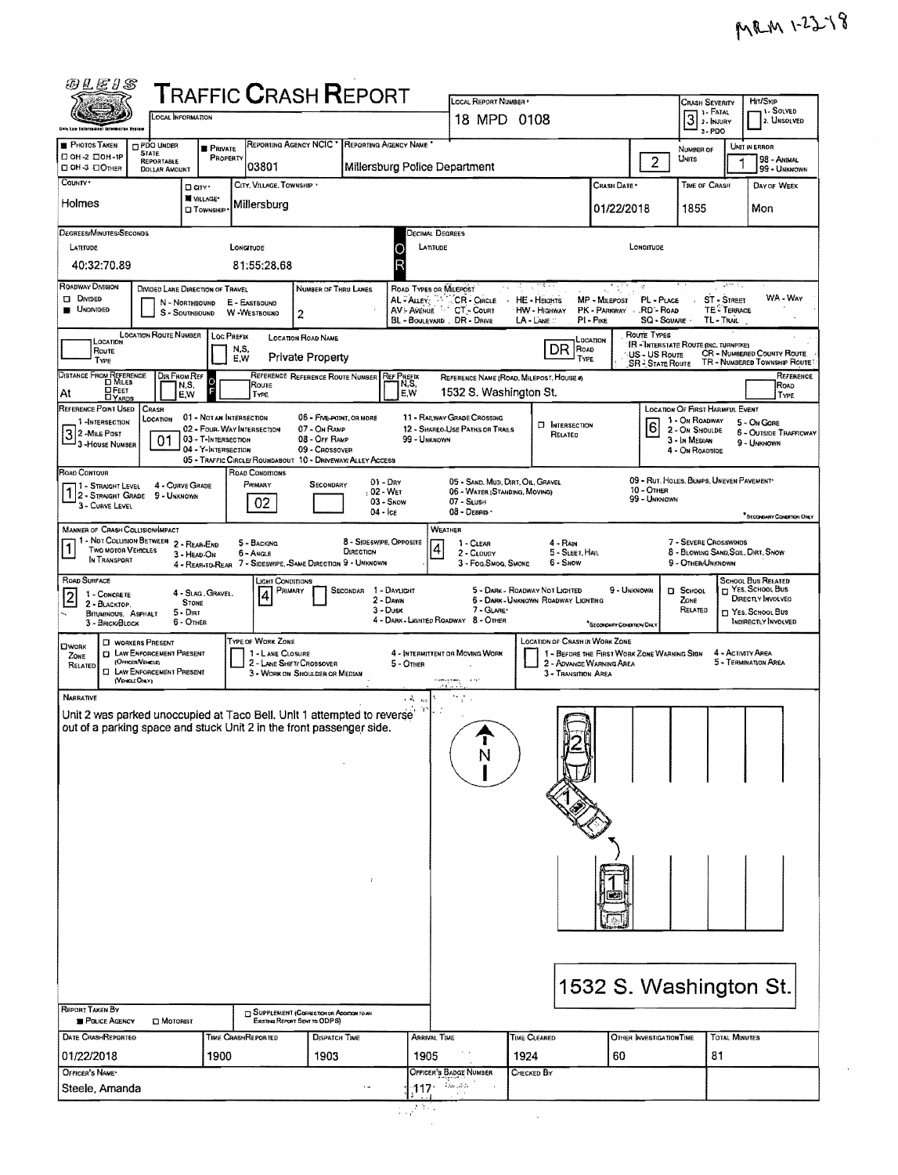l.

| <i>6</i> 1E1S                                                                                                                                                                                                                                                                                                                                      |                                                               |                                            | <b>TRAFFIC CRASH REPORT</b>                                                   |                                                                           |                                      |                                   |                                                                   |                      |                                                                                                          |                                       |                                             |                                                             |               | Hrt/Skip                                                                       |
|----------------------------------------------------------------------------------------------------------------------------------------------------------------------------------------------------------------------------------------------------------------------------------------------------------------------------------------------------|---------------------------------------------------------------|--------------------------------------------|-------------------------------------------------------------------------------|---------------------------------------------------------------------------|--------------------------------------|-----------------------------------|-------------------------------------------------------------------|----------------------|----------------------------------------------------------------------------------------------------------|---------------------------------------|---------------------------------------------|-------------------------------------------------------------|---------------|--------------------------------------------------------------------------------|
|                                                                                                                                                                                                                                                                                                                                                    |                                                               | Local Information                          |                                                                               |                                                                           |                                      |                                   | LOCAL REPORT NUMBER<br>18 MPD 0108                                |                      |                                                                                                          |                                       |                                             | <b>CRASH SEVERITY</b><br>3                                  |               | <b>1- SOLVED</b><br>2. UNSOLVED                                                |
| Onia Law Externament Information System<br><b>B</b> PHOTOS TAKEN                                                                                                                                                                                                                                                                                   | <b>PDO UNDER</b>                                              | <b>B</b> PRIVATE                           | REPORTING AGENCY NCIC *                                                       |                                                                           |                                      | <b>REPORTING AGENCY NAME</b>      |                                                                   |                      |                                                                                                          |                                       |                                             | $3 - PDO$<br>NUMBER OF                                      |               | UNIT IN ERROR                                                                  |
| □ ОН-2 □ ОН-1Р<br>CI OH-3 EI OTHER                                                                                                                                                                                                                                                                                                                 | <b>STATE</b><br><b>REPORTABLE</b><br><b>DOLLAR AMOUNT</b>     | PROPERTY                                   | 03801                                                                         |                                                                           |                                      |                                   | Millersburg Police Department                                     |                      |                                                                                                          |                                       | $\overline{2}$                              | Units                                                       |               | 98 - ANIMAL<br>99 - UNKNOWN                                                    |
| COUNTY .                                                                                                                                                                                                                                                                                                                                           |                                                               | D arvs<br>WILLAGE*                         | CITY, VILLAGE, TOWNSHIP .                                                     |                                                                           |                                      |                                   |                                                                   |                      |                                                                                                          | Crash Date *                          |                                             | TIME OF CRASH                                               |               | DAY OF WEEK                                                                    |
| Holmes                                                                                                                                                                                                                                                                                                                                             |                                                               | <b>CI TOWNSHIP</b>                         | Millersburg                                                                   |                                                                           |                                      |                                   |                                                                   |                      |                                                                                                          | 01/22/2018                            |                                             | 1855                                                        |               | Mon                                                                            |
| <b>DEGREES/MINUTES/SECONDS</b><br>DECIMAL DEGREES<br>LATITUDE<br>LATITUDE<br><b>LONGITUDE</b><br>LONGITUDE<br>O                                                                                                                                                                                                                                    |                                                               |                                            |                                                                               |                                                                           |                                      |                                   |                                                                   |                      |                                                                                                          |                                       |                                             |                                                             |               |                                                                                |
| 40:32:70.89<br>81:55:28.68                                                                                                                                                                                                                                                                                                                         |                                                               |                                            |                                                                               |                                                                           |                                      |                                   |                                                                   |                      |                                                                                                          |                                       |                                             |                                                             |               |                                                                                |
| Roadway Division<br>$u^{(10)} \geq$<br>NUMBER OF THRU LANES<br>ROAD TYPES OR MILEPOST<br>DIVIDED LANE DIRECTION OF TRAVEL<br>WA-WAY<br><b>DIVIDED</b><br>CR - CIRCLE<br>PL - PLACE<br><b>ST - STREET</b><br>AL - ALLEY<br><b>HE-HEIGHTS</b><br>MP - MILEPOST<br>N - NORTHBOUND<br>E - EASTBOUND                                                    |                                                               |                                            |                                                                               |                                                                           |                                      |                                   |                                                                   |                      |                                                                                                          |                                       |                                             |                                                             |               |                                                                                |
| <b>UNDIVIDED</b><br>CT - Count<br>PK - PARKWAY RD'- ROAD<br><b>TE: TERRACE</b><br>AV - AVENUE<br>HW - Highway<br>S - Southbound<br>W-WESTBOUND<br>2<br>BL - BOULEVARD . DR - DRIVE<br>PI-PIKE<br>SQ - SQUARE<br>TL-TRAIL<br>LA - LANE                                                                                                              |                                                               |                                            |                                                                               |                                                                           |                                      |                                   |                                                                   |                      |                                                                                                          |                                       |                                             |                                                             |               |                                                                                |
| LOCATION<br>ROUTE                                                                                                                                                                                                                                                                                                                                  | <b>LOCATION ROUTE NUMBER</b>                                  | Loc PREFIX                                 | N.S,                                                                          | LOCATION ROAD NAME                                                        |                                      |                                   |                                                                   |                      | LOCATION<br>DR<br>Road                                                                                   |                                       | Route TYPES                                 | <b>IR - INTERSTATE ROUTE (INC. TURNPIKE)</b>                |               |                                                                                |
| Type                                                                                                                                                                                                                                                                                                                                               |                                                               | Dir From Ref                               | E.W                                                                           | <b>Private Property</b><br>REFERENCE REFERENCE ROUTE NUMBER               |                                      | <b>REF PREFIX</b>                 |                                                                   |                      | TYPE                                                                                                     |                                       | <b>US-US Route</b><br><b>SR-STATE ROUTE</b> |                                                             |               | <b>CR - NUMBERED COUNTY ROUTE</b><br>TR - NUMBERED TOWNSHIP ROUTE<br>Reference |
| DISTANCE FROM REFERENCE<br><b>DFEET</b><br>DYARDS<br>At                                                                                                                                                                                                                                                                                            |                                                               | lol<br>N.S.<br>E,W                         | Route<br><b>TYPE</b>                                                          |                                                                           |                                      | N,S,<br>E,W                       | REFERENCE NAME (ROAD MILEPOST, HOUSE #)<br>1532 S. Washington St. |                      |                                                                                                          |                                       |                                             |                                                             |               | ROAD<br><b>TYPE</b>                                                            |
| REFERENCE POINT USED<br>1-INTERSECTION                                                                                                                                                                                                                                                                                                             | Crash<br>LOCATION                                             | 01 - NOT AN INTERSECTION                   |                                                                               | 05 - FIVE-POINT, OR MORE                                                  |                                      |                                   | 11 - RAILWAY GRADE CROSSING                                       |                      | <b>E INTERSECTION</b>                                                                                    |                                       |                                             | LOCATION OF FIRST HARMFUL EVENT<br>1 - On Roadway           |               | 5 - On Gore                                                                    |
| $32$ -MILE POST<br><sup>J</sup> 3 - House Number                                                                                                                                                                                                                                                                                                   | 01                                                            | 03 - T-INTERSECTION<br>04 - Y-INTERSECTION | 02 - FOUR-WAY INTERSECTION                                                    | 07 - On RAMP<br>08 - Off RAMP<br>09 - Crossover                           |                                      | 99 - UNKNOWN                      | 12 - SHAREO-USE PATHS OR TRAILS                                   |                      | 6<br>2 - On Shoulde<br><b>6 - OUTSIDE TRAFFICWAY</b><br>3 - In Median<br>9 - Unionown<br>4 - On Roadside |                                       |                                             |                                                             |               |                                                                                |
| ROAD CONTOUR                                                                                                                                                                                                                                                                                                                                       |                                                               |                                            | 05 - TRAFFIC CIRCLE/ROUNDABOUT 10 - DRIVEWAY/ ALLEY ACCESS<br>ROAD CONDITIONS |                                                                           |                                      |                                   |                                                                   |                      |                                                                                                          |                                       |                                             |                                                             |               |                                                                                |
| 09 - RUT. HOLES, BUMPS, UNEVEN PAVEMENT*<br>$01 - \text{Dar}$<br>05 - SAND, MUD, DIRT, OIL, GRAVEL<br>PRIMARY<br>4 - CURVE GRADE<br>SECONDARY<br>1 - Straight Level<br>10 - OTHER<br>12 - STRAIGHT GRADE 9 - UNKNOWN<br>02 - WET<br>06 - WATER (STANDING, MOVING)<br>99 - Unknown                                                                  |                                                               |                                            |                                                                               |                                                                           |                                      |                                   |                                                                   |                      |                                                                                                          |                                       |                                             |                                                             |               |                                                                                |
| 3 - CURVE LEVEL                                                                                                                                                                                                                                                                                                                                    |                                                               |                                            | 02                                                                            |                                                                           | $04 -$ Ice                           | 03 - Snow                         | 07 - SLUSH<br>08 - DEBRIS                                         |                      |                                                                                                          |                                       |                                             |                                                             |               | <sup>*</sup> SECONNARY CONDITION ONLY                                          |
| <b>MANNER OF CRASH COLLISION/IMPACT</b><br>1 - Not Collision Between 2 - Rear-End<br><b>TWO MOTOR VEHICLES</b>                                                                                                                                                                                                                                     |                                                               |                                            | 5 - BACKING<br>6 - Angle                                                      |                                                                           | 8 - SIDESWIPE, OPPOSITE<br>DIRECTION |                                   | WEATHER<br>$1 - C$ LEAR<br>4<br>2 - CLOUDY                        |                      | $4 - RAN$<br>5 - SLEET, HAIL                                                                             |                                       |                                             | 7 - SEVERE CROSSWINDS<br>8 - BLOWING SAND, SOIL, DIRT, SNOW |               |                                                                                |
| IN TRANSPORT                                                                                                                                                                                                                                                                                                                                       |                                                               | 3 - HEAD ON                                | 4 - REAR-TO-REAR 7 - SIDESWIPE, SAME DIRECTION 9 - UNKNOWN                    |                                                                           |                                      |                                   | 3 - Fog.Smog. Smoke                                               |                      | 6 - SNOW                                                                                                 |                                       |                                             | 9 - OTHER/UNKNOWN                                           |               |                                                                                |
| ROAD SURFACE<br><b>SCHOOL BUS RELATED</b><br>JGHT CONDITIONS<br>T YES, SCHOOL Bus<br>1 - DAYLIGHT<br>5 - DARK - ROADWAY NOT LIGHTED<br>9 - UNKNOWN<br>PRIMARY<br><b>SECONDAR</b><br><b>D</b> SCHOOL<br>4 - SLAG. GRAVEL.<br>4<br>1 - CONCRETE<br>2<br>DIRECTLY INVOLVED<br>5 - DARK - UNKNOWN ROADWAY LIGHTING<br>2 - Dawn<br>ZONE<br><b>STONE</b> |                                                               |                                            |                                                                               |                                                                           |                                      |                                   |                                                                   |                      |                                                                                                          |                                       |                                             |                                                             |               |                                                                                |
| 2 - BLACKTOP.<br>BITUMINOUS, ASPHALT<br>3 - BRICK BLOCK                                                                                                                                                                                                                                                                                            |                                                               | $5 -$ DIRT<br>6 - OTHER                    |                                                                               |                                                                           |                                      | $3 - D$ USK                       | $7 - GLATE$<br>4 - DARK - LIGHTED ROADWAY 8 - OTHER               |                      |                                                                                                          | <sup>*</sup> SECONDARY CONDITION ONLY |                                             | RELATED                                                     |               | <b>My YES, SCHOOL BUS</b><br>INDIRECTLY INVOLVED                               |
| <b>CIWORK</b>                                                                                                                                                                                                                                                                                                                                      | <b>CI WORKERS PRESENT</b><br><b>D</b> LAW ENFORCEMENT PRESENT |                                            | TYPE OF WORK ZONE<br>1 - LANE CLOSURE                                         |                                                                           |                                      |                                   | 4 - INTERMITTENT OR MOVING WORK                                   |                      | <b>LOCATION OF CRASH IN WORK ZONE</b><br>1 - BEFORE THE FIRST WORK ZONE WARNING SIGN                     |                                       |                                             |                                                             |               | 4 - ACTIVITY AREA                                                              |
| ZONE<br>RELATED                                                                                                                                                                                                                                                                                                                                    | (OFFICER/VENELE)<br><b>EI LAW ENFORCEMENT PRESENT</b>         |                                            |                                                                               | 2 - LANE SHIFT/ CROSSOVER<br>3 - WORK ON SHOULDER OR MEDIAN               |                                      | 5 - OTHER                         | 1.21<br><b>Kamasawa</b>                                           |                      | 2 - ADVANCE WARNING AREA<br>3 - TRANSITION AREA                                                          |                                       |                                             |                                                             |               | 5 - TERMINATION AREA                                                           |
| Narrative                                                                                                                                                                                                                                                                                                                                          | (VEHOLE ONLY)                                                 |                                            |                                                                               |                                                                           |                                      | $\epsilon$ Å $\epsilon_{\rm reg}$ | ، ، ، ، ،<br>かさい                                                  |                      |                                                                                                          |                                       |                                             |                                                             |               |                                                                                |
| Unit 2 was parked unoccupied at Taco Bell. Unit 1 attempted to reverse<br>out of a parking space and stuck Unit 2 in the front passenger side.                                                                                                                                                                                                     |                                                               |                                            |                                                                               |                                                                           |                                      | Y                                 |                                                                   |                      |                                                                                                          |                                       |                                             |                                                             |               |                                                                                |
|                                                                                                                                                                                                                                                                                                                                                    |                                                               |                                            |                                                                               |                                                                           |                                      |                                   | N                                                                 |                      |                                                                                                          |                                       |                                             |                                                             |               |                                                                                |
|                                                                                                                                                                                                                                                                                                                                                    |                                                               |                                            |                                                                               |                                                                           |                                      |                                   |                                                                   |                      |                                                                                                          |                                       |                                             |                                                             |               |                                                                                |
|                                                                                                                                                                                                                                                                                                                                                    |                                                               |                                            |                                                                               |                                                                           |                                      |                                   |                                                                   |                      |                                                                                                          |                                       |                                             |                                                             |               |                                                                                |
|                                                                                                                                                                                                                                                                                                                                                    |                                                               |                                            |                                                                               |                                                                           |                                      |                                   |                                                                   |                      |                                                                                                          |                                       |                                             |                                                             |               |                                                                                |
|                                                                                                                                                                                                                                                                                                                                                    |                                                               |                                            |                                                                               |                                                                           |                                      |                                   |                                                                   |                      |                                                                                                          |                                       |                                             |                                                             |               |                                                                                |
|                                                                                                                                                                                                                                                                                                                                                    |                                                               |                                            |                                                                               |                                                                           | $\ddot{i}$                           |                                   |                                                                   |                      |                                                                                                          |                                       |                                             |                                                             |               |                                                                                |
|                                                                                                                                                                                                                                                                                                                                                    |                                                               |                                            |                                                                               |                                                                           |                                      |                                   |                                                                   |                      |                                                                                                          |                                       |                                             |                                                             |               |                                                                                |
|                                                                                                                                                                                                                                                                                                                                                    |                                                               |                                            |                                                                               |                                                                           |                                      |                                   |                                                                   |                      |                                                                                                          |                                       |                                             |                                                             |               |                                                                                |
|                                                                                                                                                                                                                                                                                                                                                    |                                                               |                                            |                                                                               |                                                                           |                                      |                                   |                                                                   |                      |                                                                                                          |                                       |                                             |                                                             |               |                                                                                |
|                                                                                                                                                                                                                                                                                                                                                    |                                                               |                                            |                                                                               |                                                                           |                                      |                                   |                                                                   |                      |                                                                                                          |                                       |                                             |                                                             |               |                                                                                |
| REPORT TAKEN BY                                                                                                                                                                                                                                                                                                                                    |                                                               |                                            |                                                                               |                                                                           |                                      |                                   |                                                                   |                      |                                                                                                          |                                       |                                             | 1532 S. Washington St.                                      |               |                                                                                |
| <b>POLICE AGENCY</b>                                                                                                                                                                                                                                                                                                                               | <b>D</b> MOTORIST                                             |                                            |                                                                               | SUPPLEMENT (CORRECTION OR ADDITION TO AN<br>EXISTING REPORT SENT TO ODPS) |                                      |                                   |                                                                   |                      |                                                                                                          |                                       |                                             |                                                             |               |                                                                                |
| <b>DATE CRASHREPORTEO</b><br>01/22/2018                                                                                                                                                                                                                                                                                                            |                                                               | 1900                                       | TIME CRASHREPORTED                                                            | <b>DISPATCH TIME</b><br>1903                                              |                                      | Arrival Time<br>1905              |                                                                   | TIME CLEARED<br>1924 |                                                                                                          | 60                                    | OTHER INVESTIGATION TIME                    | 81                                                          | TOTAL MINUTES |                                                                                |
| OFFICER'S NAME*                                                                                                                                                                                                                                                                                                                                    |                                                               |                                            |                                                                               |                                                                           | $\overline{1}$                       |                                   | OFFICER'S BADGE NUMBER<br>i Avenine                               | Checked By           |                                                                                                          |                                       |                                             |                                                             |               |                                                                                |
| Steele, Amanda                                                                                                                                                                                                                                                                                                                                     |                                                               |                                            |                                                                               |                                                                           |                                      | 117<br>$\mathbb{Z}^2$             |                                                                   |                      |                                                                                                          |                                       |                                             |                                                             |               |                                                                                |
|                                                                                                                                                                                                                                                                                                                                                    |                                                               |                                            |                                                                               |                                                                           |                                      |                                   |                                                                   |                      |                                                                                                          |                                       |                                             |                                                             |               |                                                                                |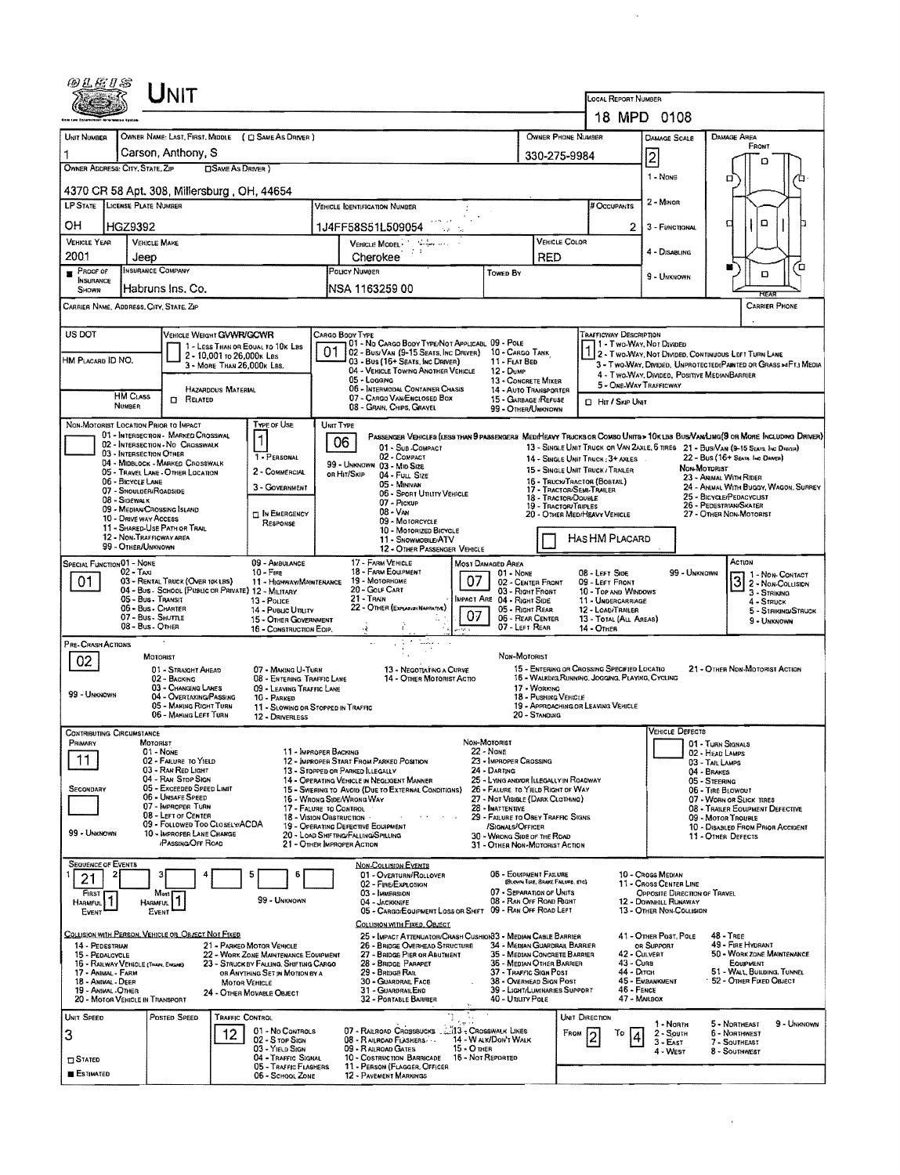|                                                                                                                                                                                                                                                                                                                            | UNIT                                                                                                         |                                                                          |                                                                                                                                                      |                                                        |                                                                                                                   | LOCAL REPORT NUMBER                                                                               |                                                                                                                  |                                                                                                                               |  |  |  |
|----------------------------------------------------------------------------------------------------------------------------------------------------------------------------------------------------------------------------------------------------------------------------------------------------------------------------|--------------------------------------------------------------------------------------------------------------|--------------------------------------------------------------------------|------------------------------------------------------------------------------------------------------------------------------------------------------|--------------------------------------------------------|-------------------------------------------------------------------------------------------------------------------|---------------------------------------------------------------------------------------------------|------------------------------------------------------------------------------------------------------------------|-------------------------------------------------------------------------------------------------------------------------------|--|--|--|
|                                                                                                                                                                                                                                                                                                                            |                                                                                                              | 18 MPD 0108                                                              |                                                                                                                                                      |                                                        |                                                                                                                   |                                                                                                   |                                                                                                                  |                                                                                                                               |  |  |  |
| UNIT NUMBER                                                                                                                                                                                                                                                                                                                | OWNER NAME: LAST, FIRST, MIDDLE ( C) SAME AS DRIVER )                                                        |                                                                          |                                                                                                                                                      |                                                        | OWNER PHONE NUMBER                                                                                                |                                                                                                   | DAMAGE SCALE                                                                                                     | DAMAGE AREA                                                                                                                   |  |  |  |
|                                                                                                                                                                                                                                                                                                                            | Carson, Anthony, S                                                                                           |                                                                          | 330-275-9984                                                                                                                                         |                                                        | $\overline{c}$                                                                                                    | FRONT                                                                                             |                                                                                                                  |                                                                                                                               |  |  |  |
| OWNER ADDRESS: CITY, STATE, ZIP                                                                                                                                                                                                                                                                                            | <b>CISAME AS DRIVER</b> )                                                                                    |                                                                          | ם<br>1 - None<br>п                                                                                                                                   |                                                        |                                                                                                                   |                                                                                                   |                                                                                                                  |                                                                                                                               |  |  |  |
|                                                                                                                                                                                                                                                                                                                            | 4370 CR 58 Apt. 308, Millersburg, OH, 44654                                                                  |                                                                          |                                                                                                                                                      | ם                                                      |                                                                                                                   |                                                                                                   |                                                                                                                  |                                                                                                                               |  |  |  |
| LP STATE LICENSE PLATE NUMBER                                                                                                                                                                                                                                                                                              |                                                                                                              |                                                                          | # Occupants                                                                                                                                          | 2 - MINOR                                              |                                                                                                                   |                                                                                                   |                                                                                                                  |                                                                                                                               |  |  |  |
| он<br>HGZ9392                                                                                                                                                                                                                                                                                                              |                                                                                                              |                                                                          | 1J4FF58S51L509054                                                                                                                                    |                                                        |                                                                                                                   | 2                                                                                                 | D<br>Ч<br>3 - FUNCTIONAL                                                                                         |                                                                                                                               |  |  |  |
| <b>VEHICLE YEAR</b><br>2001                                                                                                                                                                                                                                                                                                | <b>VEHICLE MAKE</b><br>Jeep                                                                                  |                                                                          | VEHICLE MODEL - Management of the<br>Cherokee                                                                                                        | VEHICLE COLOR<br><b>RED</b>                            |                                                                                                                   | 4 - DISABLING                                                                                     |                                                                                                                  |                                                                                                                               |  |  |  |
| PROOF OF<br><b>INSURANCE</b>                                                                                                                                                                                                                                                                                               | <b>INSURANCE COMPANY</b>                                                                                     |                                                                          | POLICY NUMBER                                                                                                                                        | Towed By                                               |                                                                                                                   | 9 - UNKNOWN                                                                                       | Ό<br>н<br>D                                                                                                      |                                                                                                                               |  |  |  |
| SHOWN                                                                                                                                                                                                                                                                                                                      | Habruns Ins. Co.                                                                                             |                                                                          | INSA 1163259 00                                                                                                                                      |                                                        |                                                                                                                   |                                                                                                   | REA                                                                                                              |                                                                                                                               |  |  |  |
| CARRIER NAME, ADDRESS, CITY, STATE, ZIP                                                                                                                                                                                                                                                                                    |                                                                                                              |                                                                          |                                                                                                                                                      |                                                        |                                                                                                                   |                                                                                                   |                                                                                                                  | CARRIER PHONE                                                                                                                 |  |  |  |
| US DOT                                                                                                                                                                                                                                                                                                                     | VEHICLE WEIGHT GVWR/GCWR                                                                                     |                                                                          | Cargo Body Type                                                                                                                                      |                                                        |                                                                                                                   | TRAFFICWAY DESCRIPTION                                                                            |                                                                                                                  |                                                                                                                               |  |  |  |
| HM PLACARD ID NO.                                                                                                                                                                                                                                                                                                          | 2 - 10,001 to 26,000x LBs                                                                                    | 1 - LESS THAN OR EQUAL TO 10K LBS                                        | 01 - No Cargo Body Type/Not Applicabl. 09 - Pole<br>01<br>02 - Busi Van (9-15 Seats, Inc Driver) 10 - Cargo Tank<br>03 - Bus (16+ Seats, Inc Driver) | 11 - FLAT BED                                          |                                                                                                                   | 1 - Two-Way, Nor Divideo<br>2 - Two WAY, NOT DIVIDED, CONTINUOUS LEFT TURN LANE                   |                                                                                                                  |                                                                                                                               |  |  |  |
|                                                                                                                                                                                                                                                                                                                            | 3 - MORE THAN 26,000K LBS.                                                                                   |                                                                          | 04 - VEHICLE TOWING ANOTHER VEHICLE<br>05 - Lagging                                                                                                  | 12 - Dump                                              | 13 - CONCRETE MIXER                                                                                               |                                                                                                   | 3 - Two-Way, Divided. Unprotected (Painted or Grass >4FT.) Media<br>4 - Two-WAY, DIVIDED, POSITIVE MEDIANBARRIER |                                                                                                                               |  |  |  |
| <b>HM CLASS</b>                                                                                                                                                                                                                                                                                                            | HAZARDOUS MATERIAL<br><b>CI RELATED</b>                                                                      |                                                                          | 06 - INTERMODAL CONTAINER CHASIS<br>07 - CARGO VAN/ENCLOSED BOX                                                                                      |                                                        | 14 - AUTO TRANSPORTER<br>15 - GARBAGE /REFUSE                                                                     |                                                                                                   | 5 - ONE-WAY TRAFFICWAY                                                                                           |                                                                                                                               |  |  |  |
| NUMBER                                                                                                                                                                                                                                                                                                                     |                                                                                                              |                                                                          | 08 - GRAIN, CHIPS, GRAVEL                                                                                                                            |                                                        | 99 - OTHER/UNKNOWN                                                                                                |                                                                                                   | <b>D</b> Har / Skip Unit                                                                                         |                                                                                                                               |  |  |  |
| NON-MOTORIST LOCATION PRIOR TO IMPACT                                                                                                                                                                                                                                                                                      | 01 - INTERSECTION - MARKED CROSSWAL                                                                          | Type or Use                                                              | UNIT TYPE                                                                                                                                            |                                                        |                                                                                                                   |                                                                                                   |                                                                                                                  | PASSENGER VEHICLES (LESS THAN 9 PASSENGERS MEDIMEAVY TRUCKS OR COMBO UNITS > 10K LBS BUS/VAM/LIMG(9 OR MORE INCLUDING DRIVER) |  |  |  |
| 03 - INTERSECTION OTHER                                                                                                                                                                                                                                                                                                    | 02 - INTERSECTION - NO CROSSWALK                                                                             | 1 - PERSONAL                                                             | 06<br>01 - Sub-COMPACT<br>02 - COMPACT                                                                                                               |                                                        |                                                                                                                   | 14 - SINGLE UNIT TRUCK; 3+ AXLES                                                                  |                                                                                                                  | 13 - SINGLE UNIT TRUCK OR VAN ZAXLE, 6 TIRES 21 - BUS/VAN (9-15 SEATS. INC DRIVER)<br>22 - Bus (16+ Seats, Inc. Davis)        |  |  |  |
|                                                                                                                                                                                                                                                                                                                            | 04 - MIDBLOCK - MARKED CROSSWALK<br>05 - TRAVEL LANE - OTHER LOCATION                                        | 2 - COMMERCIAL                                                           | 99 - UNKNOWN 03 - MID SIZE<br>OR HIT/SKIP<br>04 - FULL SIZE                                                                                          |                                                        |                                                                                                                   | 15 - SINGLE UNIT TRUCK / TRAILER                                                                  | Non-Mororiar<br>23 - ANIMAL WITH RIDER                                                                           |                                                                                                                               |  |  |  |
| 06 - BICYCLE LANE<br>07 - SHOULDER/ROADSIDE<br>08 - SIDEWALK                                                                                                                                                                                                                                                               |                                                                                                              | 3 - GOVERNMENT                                                           | 05 - MINIVAN<br>06 - SPORT UTILITY VEHICLE                                                                                                           |                                                        | 17 - TRACTOR/SEMI-TRAILER<br>18 - TRACTOR/DOUBLE                                                                  | 16 - Твиски Твастов (Вовтац)<br>24 - ANIMAL WITH BUGGY, WAGON, SURREY<br>25 - BICYCLE/PEDACYCLIST |                                                                                                                  |                                                                                                                               |  |  |  |
| 10 - Drave way Access                                                                                                                                                                                                                                                                                                      | 09 - Median/Crossing Island                                                                                  | <b>IN EMERGENCY</b>                                                      | 07 - Pickup<br>08 - VAN                                                                                                                              | 19 - TRACTOR/TRIPLES                                   | 20 - OTHER MEDIMEAVY VEHICLE                                                                                      | 26 - PEDESTRIAN/SKATER<br>27 - OTHER NON-MOTORIST                                                 |                                                                                                                  |                                                                                                                               |  |  |  |
|                                                                                                                                                                                                                                                                                                                            | 11 - SHARED USE PATH OR TRAIL<br>12 - NON-TRAFFICWAY AREA                                                    | RESPONSE                                                                 | 09 - MOTORCYCLE<br>10 - MOTORIZED BICYCLE<br>11 - SNOWMOBILE/ATV                                                                                     |                                                        | HAS HM PLACARD                                                                                                    |                                                                                                   |                                                                                                                  |                                                                                                                               |  |  |  |
| 99 - OTHER/UNKNOWN                                                                                                                                                                                                                                                                                                         |                                                                                                              |                                                                          | 12 - OTHER PASSENGER VEHICLE                                                                                                                         |                                                        |                                                                                                                   |                                                                                                   |                                                                                                                  |                                                                                                                               |  |  |  |
| SPECIAL FUNCTION 01 - NONE<br>$02 - TAXI$                                                                                                                                                                                                                                                                                  |                                                                                                              | 09 - AMBULANCE<br>$10 -$ Fire                                            | 17 - FARM VEHICLE<br>18 - FARM EQUIPMENT<br>19 - MOTORHOME                                                                                           | MOST DAMAGED AREA<br>01 - None                         |                                                                                                                   | 08 - LEFT SIDE                                                                                    | 99 - Unknown                                                                                                     | Астюм<br>1 1 - Non-Contact                                                                                                    |  |  |  |
| 01                                                                                                                                                                                                                                                                                                                         | 03 - RENTAL TRUCK (OVER 10KLBS)<br>04 - Bus - SCHOOL (PUBLIC OR PRIVATE) 12 - MILITARY<br>05 - Bus - Transit | 11 - HIGHWAY/MAINTENANCE<br>13 - Pouce                                   | 20 - GOLF CART<br>$21 -$ Train                                                                                                                       | 07<br>IMPACT ARE 04 - RIGHT SIDE                       | 02 - CENTER FRONT<br>03 - RIGHT FRONT                                                                             | 09 - LEFT FRONT<br>10 - TOP AND WINDOWS<br>11 - UNDERCARRIAGE                                     |                                                                                                                  | $\overline{3}$<br>2 - NON-COLLISION<br>3 - STRIKING                                                                           |  |  |  |
|                                                                                                                                                                                                                                                                                                                            | 06 - Bus - Charter<br>07 - Bus - SHUTTLE                                                                     | 12 - LOAD/TRAILER<br>13 - TOTAL (ALL AREAS)                              |                                                                                                                                                      | 4 - Struck<br>5 - STRIKING/STRUCK                      |                                                                                                                   |                                                                                                   |                                                                                                                  |                                                                                                                               |  |  |  |
|                                                                                                                                                                                                                                                                                                                            | 08 - Bus - Other                                                                                             | 15 - OTHER GOVERNMENT<br>16 - CONSTRUCTION EOIP.                         |                                                                                                                                                      | 07                                                     | 06 - REAR CENTER<br>07 - LEFT REAR                                                                                | 14 - OTHER                                                                                        |                                                                                                                  | 9 - Unknown                                                                                                                   |  |  |  |
| PRE-CRASH ACTIONS<br>02                                                                                                                                                                                                                                                                                                    | MOTORIST                                                                                                     |                                                                          | tuma s                                                                                                                                               |                                                        | NON-MOTORIST                                                                                                      |                                                                                                   |                                                                                                                  |                                                                                                                               |  |  |  |
|                                                                                                                                                                                                                                                                                                                            | 01 - STRAIGHT AHEAD<br>02 - BACKING                                                                          | 07 - MAKING U-TURN<br>08 - ENTERING TRAFFIC LANE                         | 13 - Negotjating a Curve<br>14 - OTHER MOTORIST ACTIO                                                                                                |                                                        |                                                                                                                   | 15 - Entering or Crossing Specified Locatio<br>15 - WALKING RUNNING, JOGGING, PLAYING, CYCLING    |                                                                                                                  | 21 - OTHER NON-MOTORIST ACTION                                                                                                |  |  |  |
| 99 - UNKNOWN                                                                                                                                                                                                                                                                                                               | 03 - CHANGING LANES<br>04 - OVERTAKING/PASSING                                                               | 09 - LEAVING TRAFFIC LANE<br>10 - PARKED                                 |                                                                                                                                                      |                                                        | 17 - WORKING<br>18 - PUSHING VEHICLE                                                                              |                                                                                                   |                                                                                                                  |                                                                                                                               |  |  |  |
|                                                                                                                                                                                                                                                                                                                            | 05 - MAKING RIGHT TURN<br>06 - MAKING LEFT TURN                                                              | 11 - SLOWING OR STOPPED IN TRAFFIC<br>12 - DRIVERLESS                    |                                                                                                                                                      |                                                        | 20 - Standing                                                                                                     | 19 - APPROACHING OR LEAVING VEHICLE                                                               |                                                                                                                  |                                                                                                                               |  |  |  |
| <b>CONTRIBUTING CIRCUMSTANCE</b>                                                                                                                                                                                                                                                                                           |                                                                                                              |                                                                          |                                                                                                                                                      | NON-MOTORIST                                           |                                                                                                                   |                                                                                                   | <b>VEHICLE DEFECTS</b>                                                                                           |                                                                                                                               |  |  |  |
| Primary                                                                                                                                                                                                                                                                                                                    | MOTORIST<br>01 - NONE<br>02 - FAILURE TO YIELD                                                               |                                                                          | 11 - IMPROPER BACKING<br>12 - IMPROPER START FROM PARKED POSITION                                                                                    | 22 - None<br>23 - IMPROPER CROSSING                    |                                                                                                                   | 01 - TURN SIGNALS<br>02 - HEAD LAMPS<br>03 - TAIL LAMPS                                           |                                                                                                                  |                                                                                                                               |  |  |  |
|                                                                                                                                                                                                                                                                                                                            | 03 - RAN RED LIGHT<br>04 - RAN STOP SIGN                                                                     |                                                                          | 13 - Stopped or Parked Illegally<br>14 - Operating Vehicle in Negligent Manner                                                                       | 24 - DARTING<br>25 - LYING AND/OR LLEGALLY IN ROADWAY  |                                                                                                                   | 04 - BRAKES<br>05 - STEERING                                                                      |                                                                                                                  |                                                                                                                               |  |  |  |
| SECONDARY                                                                                                                                                                                                                                                                                                                  | 05 - Exceeped Speed Limit<br>06 - Unsafe Speed                                                               |                                                                          | 15 - Swering to Avoid (Due to External Conditions)<br>16 - WRONG SIDE/WRONG WAY                                                                      |                                                        | 26 - FALURE TO YIELD RIGHT OF WAY<br>27 - Not Visible (DARK CLOTHING)                                             |                                                                                                   | 06 - TIRE BLOWOUT<br>07 - WORN OR SLICK TIRES                                                                    |                                                                                                                               |  |  |  |
|                                                                                                                                                                                                                                                                                                                            | 07 - IMPROPER TURN<br>08 - LEFT OF CENTER                                                                    |                                                                          | 17 - FALURE TO CONTROL<br>18 - VISION OBSTRUCTION                                                                                                    | 28 - INATTENTIVE<br>29 - FAILURE TO OBEY TRAFFIC SIGNS |                                                                                                                   | 08 - TRAILER EQUIPMENT DEFECTIVE<br>09 - Motor Trouble                                            |                                                                                                                  |                                                                                                                               |  |  |  |
| 99 - UNKNOWN                                                                                                                                                                                                                                                                                                               | 09 - FOLLOWED TOO CLOSELY/ACDA<br>10 - IMPROPER LANE CHANGE                                                  |                                                                          | 19 - OPERATING DEFECTIVE EQUIPMENT<br>20 - LOAD SHIFTING/FALLING/SPILLING                                                                            | /SIGNALS/OFFICER<br>30 - WRONG SIDE OF THE ROAD        |                                                                                                                   |                                                                                                   | 10 - DISABLED FROM PRIOR ACCIDENT<br>11 - OTHER DEFECTS                                                          |                                                                                                                               |  |  |  |
|                                                                                                                                                                                                                                                                                                                            | <b>PASSING OFF ROAD</b>                                                                                      |                                                                          | 21 - Отнек Імрворев Астюм                                                                                                                            |                                                        | 31 - OTHER NON-MOTORIST ACTION                                                                                    |                                                                                                   |                                                                                                                  |                                                                                                                               |  |  |  |
| <b>SEQUENCE OF EVENTS</b><br>2<br>21                                                                                                                                                                                                                                                                                       |                                                                                                              |                                                                          | NON-COLLISION EVENTS<br>01 - OVERTURN/ROLLOVER                                                                                                       |                                                        | 06 - EQUIPMENT FAILURE<br>(BLOWN TIRE, BRAKE FALURE, ETC)                                                         |                                                                                                   | 10 - Cross Median                                                                                                |                                                                                                                               |  |  |  |
| FIRST                                                                                                                                                                                                                                                                                                                      | Most                                                                                                         | 99 - Unknown                                                             | 02 - FIRE/EXPLOSION<br>03 - IMMERSION<br>04 - JACKKNIFE                                                                                              |                                                        | 07 - SEPARATION OF UNITS<br>08 - RAN OFF ROAD RIGHT                                                               |                                                                                                   | 11 - Cross Center Line<br>OPPOSITE DIRECTION OF TRAVEL<br>12 - DOWNHILL RUNAWAY                                  |                                                                                                                               |  |  |  |
| <b>HARMFUL</b><br>EVENT                                                                                                                                                                                                                                                                                                    | HARMFUL<br>EVENT                                                                                             |                                                                          | 05 - CARGO/EQUIPMENT LOSS OR SHIFT 09 - RAN OFF ROAD LEFT                                                                                            |                                                        |                                                                                                                   |                                                                                                   | 13 - OTHER NON-COLLISION                                                                                         |                                                                                                                               |  |  |  |
|                                                                                                                                                                                                                                                                                                                            | COLLISION WITH PERSON, VEHICLE OR OBJECT NOT FIXED                                                           |                                                                          | COLLISION WITH FIXED, OBJECT<br>25 - IMPACT ATTENUATOR/CRASH CUSHION33 - MEDIAN CABLE BARRIER                                                        |                                                        |                                                                                                                   |                                                                                                   | 41 - OTHER POST, POLE                                                                                            | $48 - TREF$                                                                                                                   |  |  |  |
| 49 - Fire Hydrant<br>21 - PARKED MOTOR VEHICLE<br>26 - BRIDGE OVERHEAD STRUCTURE<br>34 - Median Guardral Barrier<br>or Support<br>14 - PEDESTRIAN<br>35 - MEDIAN CONCRETE BARRIER<br>42 - CULVERT<br>50 - WORK ZONE MAINTENANCE<br>22 - WORK ZONE MAINTENANCE EQUIPMENT<br>27 - BRIDGE PIER OR ABUTMENT<br>15 - PEDALCYCLE |                                                                                                              |                                                                          |                                                                                                                                                      |                                                        |                                                                                                                   |                                                                                                   |                                                                                                                  |                                                                                                                               |  |  |  |
| 16 - RAILWAY VEHICLE (TRAIN, ENGINE)<br>17 - ANIMAL FARM                                                                                                                                                                                                                                                                   |                                                                                                              | 23 - STRUCK BY FALLING, SHIFTING CARGO<br>OR ANYTHING SET IN MOTION BY A | 28 - BRIDGE PARAPET<br>29 - Bridge Ratt                                                                                                              | 36 - MEDIAN OTHER BARRIER<br>37 - TRAFFIC SIGN POST    | 43 - Cuna<br>EQUIPMENT<br>44 - Олтсн<br>51 - WALL, BUILDING, TUNNEL<br>52 - OTHER FIXED OBJECT<br>45 - EMBANKMENT |                                                                                                   |                                                                                                                  |                                                                                                                               |  |  |  |
| 18 - Animal - Deer<br>19 - Animal - Other<br>20 - MOTOR VEHICLE IN TRANSPORT                                                                                                                                                                                                                                               |                                                                                                              | <b>MOTOR VEHICLE</b><br>24 - OTHER MOVABLE OBJECT                        | 30 - GUARDRAIL FACE<br>31 - GUARDRAILEND<br>32 - PORTABLE BARRIER                                                                                    |                                                        | 38 - Overhead Sign Post<br>39 - LIGHT/LUMINARIES SUPPORT<br>40 - Utility Pole                                     | 46 - FERCE                                                                                        | 47 - MAILBOX                                                                                                     |                                                                                                                               |  |  |  |
| UNIT SPEED                                                                                                                                                                                                                                                                                                                 | Posted SPEED                                                                                                 | TRAFFIC CONTROL                                                          |                                                                                                                                                      |                                                        |                                                                                                                   | UNIT DIRECTION                                                                                    |                                                                                                                  |                                                                                                                               |  |  |  |
| 3                                                                                                                                                                                                                                                                                                                          | 12                                                                                                           | 01 - No CONTROLS<br>02 - S top Sign                                      | 07 - RAILROAD CROSSBUCKS  13 - CROSSWALK LINES<br>08 - RAILROAD FLASHERS                                                                             | 14 - W alk/Don't Walk                                  |                                                                                                                   | $F_{ROM}$ 2<br>To                                                                                 | 1 - North<br>$2 -$ South                                                                                         | 9 - UNKNOWN<br>5 - Northeast<br>6 - Nonthwest                                                                                 |  |  |  |
| $\square$ Stated                                                                                                                                                                                                                                                                                                           |                                                                                                              | 03 - YIELD SIGN<br>04 - TRAFFIC SIGNAL                                   | 09 - RAIROAD GATES<br>10 - COSTRUCTION BARRICADE                                                                                                     | 15 - O THER<br>16 - Not Reported                       |                                                                                                                   |                                                                                                   | $3 - E$ AST<br>4 - WEST                                                                                          | 7 - SOUTHEAST<br>8 - Southwest                                                                                                |  |  |  |
| <b>E</b> stimated                                                                                                                                                                                                                                                                                                          |                                                                                                              | 05 - TRAFFIC FLASHERS<br>06 - SCHOOL ZONE                                | 11 - PERSON (FLAGGER, OFFICER<br>12 - PAVEMENT MARKINGS                                                                                              |                                                        |                                                                                                                   |                                                                                                   |                                                                                                                  |                                                                                                                               |  |  |  |
|                                                                                                                                                                                                                                                                                                                            |                                                                                                              |                                                                          |                                                                                                                                                      |                                                        |                                                                                                                   |                                                                                                   |                                                                                                                  |                                                                                                                               |  |  |  |

 $\hat{\mathcal{A}}$ 

 $\Delta \sim 1$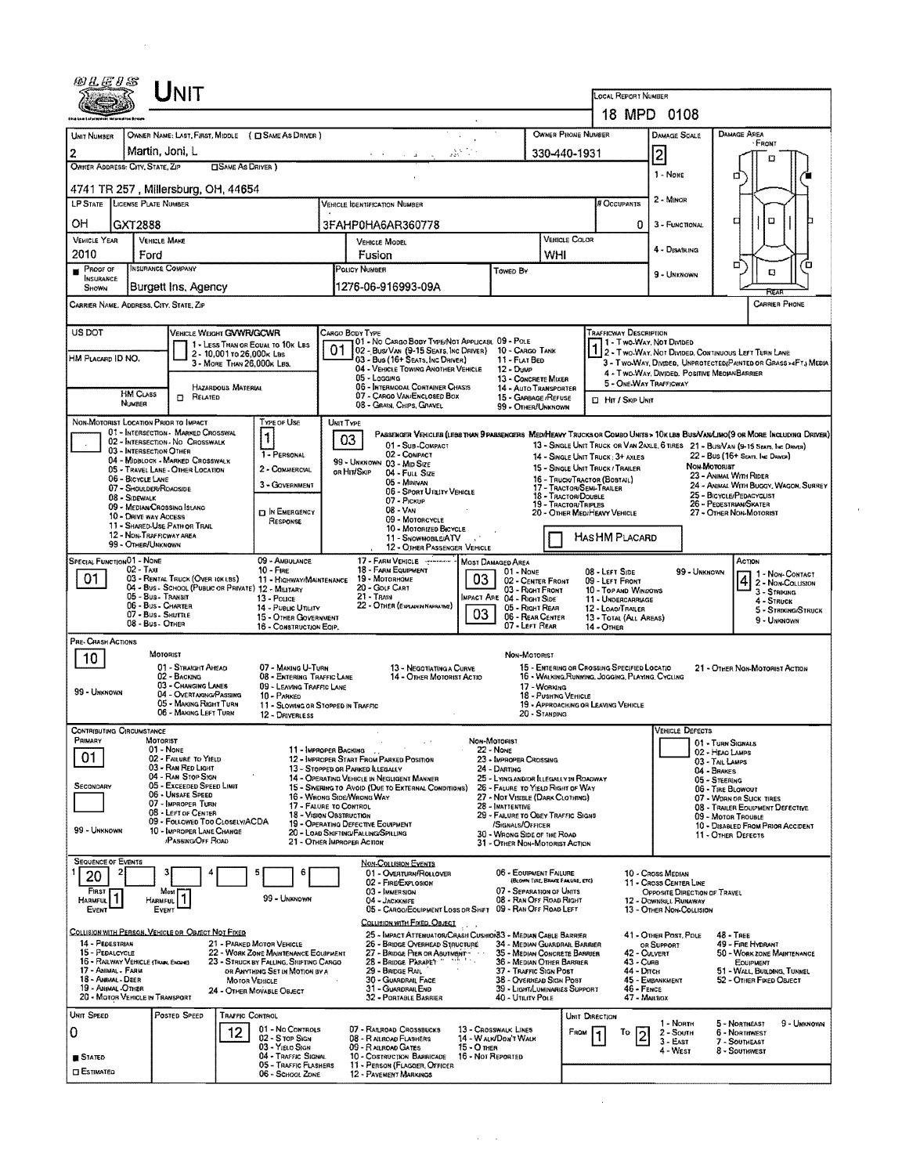|                                                                                                                                                                                     |                                  | UNIT                                                                         |                                                                                                     |                                                                                |                                                                                                                                                                       |                                                                                                                               |                   |                                                                                                                                   |                                  |                |                                                                                                                                |                                                       |              |                                                        |                                             |  |
|-------------------------------------------------------------------------------------------------------------------------------------------------------------------------------------|----------------------------------|------------------------------------------------------------------------------|-----------------------------------------------------------------------------------------------------|--------------------------------------------------------------------------------|-----------------------------------------------------------------------------------------------------------------------------------------------------------------------|-------------------------------------------------------------------------------------------------------------------------------|-------------------|-----------------------------------------------------------------------------------------------------------------------------------|----------------------------------|----------------|--------------------------------------------------------------------------------------------------------------------------------|-------------------------------------------------------|--------------|--------------------------------------------------------|---------------------------------------------|--|
|                                                                                                                                                                                     |                                  |                                                                              |                                                                                                     |                                                                                |                                                                                                                                                                       |                                                                                                                               |                   |                                                                                                                                   |                                  |                | LOCAL REPORT NUMBER<br>18 MPD 0108                                                                                             |                                                       |              |                                                        |                                             |  |
| UNIT NUMBER                                                                                                                                                                         |                                  |                                                                              |                                                                                                     | OWNER NAME: LAST, FIRST, MIDDLE ( C SAME AS DRIVER )                           |                                                                                                                                                                       |                                                                                                                               |                   |                                                                                                                                   | OWNER PHONE NUMBER               |                |                                                                                                                                | DAMAGE SCALE                                          |              | <b>DAMAGE AREA</b>                                     |                                             |  |
| 2                                                                                                                                                                                   |                                  | Martin, Joni, L                                                              |                                                                                                     |                                                                                | alah Ka<br>$\sigma = \sigma_{\rm{max}} = \sigma_{\rm{max}}$                                                                                                           |                                                                                                                               |                   |                                                                                                                                   |                                  |                |                                                                                                                                | $\overline{2}$                                        |              | <b>FRONT</b>                                           |                                             |  |
| 330-440-1931<br>OWNER ADDRESS: CITY, STATE, ZIP<br><b>CISAME AS DRIVER</b> )                                                                                                        |                                  |                                                                              |                                                                                                     |                                                                                |                                                                                                                                                                       |                                                                                                                               |                   |                                                                                                                                   |                                  |                | 1 - None                                                                                                                       | o                                                     |              |                                                        |                                             |  |
|                                                                                                                                                                                     |                                  | 4741 TR 257 , Millersburg, OH, 44654                                         |                                                                                                     |                                                                                |                                                                                                                                                                       |                                                                                                                               |                   |                                                                                                                                   |                                  |                |                                                                                                                                |                                                       |              | α                                                      |                                             |  |
| <b>LP STATE</b>                                                                                                                                                                     |                                  | <b>LIGENSE PLATE NUMBER</b>                                                  |                                                                                                     |                                                                                |                                                                                                                                                                       | <b>VEHICLE IDENTIFICATION NUMBER</b>                                                                                          |                   |                                                                                                                                   |                                  |                | # Occupants                                                                                                                    | 2 - MINOR                                             |              |                                                        |                                             |  |
| OH<br>GXT2888                                                                                                                                                                       |                                  |                                                                              |                                                                                                     |                                                                                |                                                                                                                                                                       | 3FAHP0HA6AR360778                                                                                                             |                   |                                                                                                                                   |                                  |                | 0                                                                                                                              | 3 - FUNCTIONAL                                        | O            |                                                        |                                             |  |
| <b>VEHICLE YEAR</b><br>2010                                                                                                                                                         |                                  | <b>VEHICLE MAKE</b>                                                          |                                                                                                     |                                                                                | <b>VEHICLE MODEL</b><br>Fusion                                                                                                                                        |                                                                                                                               |                   |                                                                                                                                   | WHI                              | VEHICLE COLOR  |                                                                                                                                | 4 - Disabling                                         |              |                                                        |                                             |  |
| PROOF OF<br>ш                                                                                                                                                                       | Ford<br><b>INSURANCE COMPANY</b> |                                                                              |                                                                                                     |                                                                                |                                                                                                                                                                       | <b>POLICY NUMBER</b><br>Toweb By                                                                                              |                   |                                                                                                                                   |                                  |                |                                                                                                                                | 9 - UNKNOWN                                           |              | □                                                      | ΓО<br>Q                                     |  |
| <b>INSURANCE</b><br>Shown                                                                                                                                                           |                                  | Burgett Ins, Agency                                                          |                                                                                                     |                                                                                | 1276-06-916993-09A                                                                                                                                                    |                                                                                                                               |                   |                                                                                                                                   |                                  |                |                                                                                                                                |                                                       |              |                                                        | REA                                         |  |
|                                                                                                                                                                                     |                                  | CARRIER NAME, ADDRESS, CITY, STATE, ZIP                                      |                                                                                                     |                                                                                |                                                                                                                                                                       |                                                                                                                               |                   |                                                                                                                                   |                                  |                |                                                                                                                                |                                                       |              |                                                        | CARRIER PHONE                               |  |
| US DOT                                                                                                                                                                              |                                  | VEHICLE WEIGHT GWWR/GCWR                                                     |                                                                                                     |                                                                                |                                                                                                                                                                       | Cargo Body Type                                                                                                               |                   |                                                                                                                                   |                                  |                | <b>TRAFFICWAY DESCRIPTION</b>                                                                                                  |                                                       |              |                                                        |                                             |  |
| HM PLACARD ID NO.                                                                                                                                                                   |                                  |                                                                              | 2 - 10,001 to 26,000x Las                                                                           | 1 - LESS THAN OR EQUAL TO 10K LBS                                              | 01                                                                                                                                                                    | 01 - No CARGO BODY TYPE/NOT APPLICABL 09 - POLE<br>02 - Bus/Van (9-15 Seats, Inc Driver)                                      |                   | 10 - CARGO TANK                                                                                                                   |                                  |                | 1 - Two Way, Not Divided                                                                                                       |                                                       |              | 2 - Two-Way, Not Divided, Continuous Left Turn Lane    |                                             |  |
|                                                                                                                                                                                     |                                  |                                                                              | 3 - MORE THAN 26,000K LBS.                                                                          |                                                                                |                                                                                                                                                                       | 03 - Bus (16+ SEATS, INC DRIVER)<br>04 - VEHICLE TOWING ANOTHER VEHICLE                                                       |                   | 11 - FLAT BED<br>12 - Dump                                                                                                        |                                  |                | 3 - Two-Way, Divideo, UNPROTECTED/PAINTED OR GRASS >4FTJ MEDIA<br>4 - Two-Way, Divided. Positive Meqian Barrier                |                                                       |              |                                                        |                                             |  |
|                                                                                                                                                                                     | HM CLASS                         | <b>ET RELATED</b>                                                            | HAZARDOUS MATERIAL                                                                                  |                                                                                | 05 - Lagging<br>13 - CONCRETE MIXER<br>06 - INTERMODAL CONTAINER CHASIS<br>14 - AUTO TRANSPORTER<br>07 - CARGO VAN/ENCLOSED BOX<br>15 - GARBAGE / REFUSE              |                                                                                                                               |                   |                                                                                                                                   |                                  |                | 5 - ONE-WAY TRAFFICWAY                                                                                                         |                                                       |              |                                                        |                                             |  |
|                                                                                                                                                                                     | NUMBER                           |                                                                              |                                                                                                     |                                                                                |                                                                                                                                                                       | 08 - GRAIN, CHIPS, GRAVEL                                                                                                     |                   | 99 - OTHER/UNKNOWN                                                                                                                |                                  |                | <b>D</b> Hm / Skip UNIT                                                                                                        |                                                       |              |                                                        |                                             |  |
|                                                                                                                                                                                     |                                  | NON-MOTORIST LOCATION PRIOR TO IMPACT<br>01 - INTERSECTION - MARKED CROSSWAL |                                                                                                     | TYPE OF USE<br>1                                                               | UNIT TYPE                                                                                                                                                             | Parsenger Venicles (less than 9 parsengers Med/Heavy Trucks or Combo Units > 10k lbs Bus/Vav/Limo(9 or More Including Driver) |                   |                                                                                                                                   |                                  |                |                                                                                                                                |                                                       |              |                                                        |                                             |  |
|                                                                                                                                                                                     |                                  | 02 - INTERSECTION - NO CROSSWALK<br>03 - INTERSECTION OTHER                  |                                                                                                     | 1 - PERSONAL                                                                   | 03                                                                                                                                                                    | 01 - Sub-COMPACT<br>02 - COMPACT                                                                                              |                   |                                                                                                                                   |                                  |                | 13 - SINGLE UNIT TRUCK OR VAN 2AXLE, 6 TIRES 21 - BUS/VAN (9-15 SEATS, INC DRIVER)<br>14 - SINGLE UNIT TRUCK: 3+ AXLES         |                                                       |              | 22 - Bus (16+ Sears, Inc Deven)                        |                                             |  |
|                                                                                                                                                                                     | 06 - BICYCLE LANE                | 04 - MIDBLOCK - MARKED CROSSWALK<br>05 - TRAVEL LANE - OTHER LOCATION        |                                                                                                     | 2 - COMMERCIAL                                                                 |                                                                                                                                                                       | 99 - UNKNOWN 03 - MID SIZE<br>or Hit/Skip<br>04 - FULL SIZE                                                                   |                   |                                                                                                                                   |                                  |                | Non-Morosiar<br>15 - SINGLE UNIT TRUCK / TRAILER<br>23 - ANIMAL WITH RIDER                                                     |                                                       |              |                                                        |                                             |  |
|                                                                                                                                                                                     | 08 - Sidewalk                    | 07 - SHOULDER/ROAGSIDE                                                       |                                                                                                     | 3 - GOVERNMENT                                                                 |                                                                                                                                                                       | 05 - MINIVAN<br>06 - Sport Utairy Vehicle                                                                                     |                   |                                                                                                                                   | 18 - TRACTOR/DOUBLE              |                | 16 - TRUCK/TRACTOR (BOBTAIL)<br>24 - ANIMAL WITH BUGGY, WAGON, SURREY<br>17 - TRACTOR/SEMI-TRAILER<br>25 - BICYCLE/PEDACYCLIST |                                                       |              |                                                        |                                             |  |
|                                                                                                                                                                                     |                                  | 09 - MEDIAN CROSSING ISLANO                                                  |                                                                                                     | <b>D IN EMERGENCY</b>                                                          | 07 - Pickup<br>19 - TRACTOR/TRIPLES<br>08 - Van<br>20 - OTHER MEDIHEAVY VEHICLE                                                                                       |                                                                                                                               |                   |                                                                                                                                   |                                  |                | 26 - PEDESTRIAN/SKATER<br>27 - OTHER NON-MOTORIST                                                                              |                                                       |              |                                                        |                                             |  |
| 10 - DRIVE WAY ACCESS<br>09 - MOTORCYCLE<br>RESPONSE<br>11 - SHARED-USE PATH OR TRAIL<br>10 - MOTORIZED BICYCLE<br>12 - NON-TRAFFICWAY AREA<br>HASHM PLACARD<br>11 - SNOWMOBILE/ATV |                                  |                                                                              |                                                                                                     |                                                                                |                                                                                                                                                                       |                                                                                                                               |                   |                                                                                                                                   |                                  |                |                                                                                                                                |                                                       |              |                                                        |                                             |  |
| SPECIAL FUNCTION 01 - NOME                                                                                                                                                          | 99 - OTHER/UNKNOWN               |                                                                              |                                                                                                     | 09 - AMBULANCE                                                                 |                                                                                                                                                                       | 12 - OTHER PASSENGER VEHICLE<br>17 - FARM VEHICLE - ---------                                                                 |                   |                                                                                                                                   |                                  |                |                                                                                                                                |                                                       |              |                                                        |                                             |  |
| 01                                                                                                                                                                                  | $02 - TAXI$                      | 03 - RENTAL TRUCK (OVER 10KLBS)                                              |                                                                                                     | $10 -$ Fire<br>11 - HIGHWAY/MAINTENANCE                                        |                                                                                                                                                                       | 18 - FARM EQUIPMENT<br>19 - Мотовноме                                                                                         | 03                | MOST DAMAGED AREA<br>01 - None                                                                                                    |                                  |                | 08 - LEFT SIDE<br>09 - LEFT FRONT                                                                                              |                                                       | 99 - UNKNOWN | Астюм                                                  | $\overline{4}$ $\overline{2}$ - Non-Contact |  |
|                                                                                                                                                                                     |                                  | 04 - Bus - School (Public or Private) 12 - Military<br>05 - Bus - Transit    |                                                                                                     | 13 - Pouce                                                                     | 02 - CENTER FRONT<br>20 - Golf Cart<br>03 - Right Front<br>21 - TRAIN<br>IMPACT ARE 04 - RIGHT SIDE                                                                   |                                                                                                                               |                   |                                                                                                                                   |                                  |                | 10 - TOP AND WINDOWS<br>11 - UNDERCARRIAGE                                                                                     |                                                       |              |                                                        | 3 - Striking<br>4 - STRUCK                  |  |
| 06 - Bus - Charter<br>14 - Public Utility<br>07 - Bus - SHUTTLE<br>15 - OTHER GOVERNMENT                                                                                            |                                  |                                                                              |                                                                                                     |                                                                                |                                                                                                                                                                       | 22 - OTHER (EXPLANDINAMERATIVE)                                                                                               | 03                | 05 - Right Rear                                                                                                                   | 06 - REAR CENTER                 |                | 12 - LOAO/TRAILER<br>13 - TOTAL (ALL AREAS)                                                                                    |                                                       |              |                                                        | 5 - Striking/Struck<br>9 - Unknown          |  |
| PRE- CRASH ACTIONS                                                                                                                                                                  |                                  | 08 - Bus - OTHER                                                             |                                                                                                     | 16 - CONSTRUCTION EQIP.                                                        |                                                                                                                                                                       |                                                                                                                               |                   | 07 - LEFT REAR                                                                                                                    |                                  |                | 14 - Отнев                                                                                                                     |                                                       |              |                                                        |                                             |  |
| 10                                                                                                                                                                                  |                                  | MOTORIST                                                                     |                                                                                                     | 07 - MAKING U-TURN                                                             |                                                                                                                                                                       |                                                                                                                               |                   | NON-MOTORIST                                                                                                                      |                                  |                |                                                                                                                                |                                                       |              |                                                        |                                             |  |
|                                                                                                                                                                                     |                                  | 01 - STRAIGHT AHEAD<br>02 - BACKING                                          | 13 - NEGOTIATING A CURVE<br>08 - ENTERING TRAFFIC LANE<br>14 - OTHER MOTORIST ACTIO<br>17 - WORKING |                                                                                |                                                                                                                                                                       |                                                                                                                               |                   | 15 - ENTERING OR CROSSING SPECIFIED LOCATIO<br>21 - OTHER NON-MOTORIST ACTION<br>16 - WALKING, RUNNING, JOGGING, PLAYING, CYCLING |                                  |                |                                                                                                                                |                                                       |              |                                                        |                                             |  |
| 03 - CHANGING LANES<br>09 - LEAVING TRAFFIC LANE<br>99 - UNKNOWN<br>04 - Overtaking/Passing<br>10 - PARKED<br>05 - MAKING RIGHT TURN                                                |                                  |                                                                              |                                                                                                     |                                                                                |                                                                                                                                                                       |                                                                                                                               |                   |                                                                                                                                   | 18 - Pushing Vehicle             |                |                                                                                                                                |                                                       |              |                                                        |                                             |  |
|                                                                                                                                                                                     |                                  | 06 - MAKING LEFT TURN                                                        |                                                                                                     | 11 - SLOWING OR STOPPED IN TRAFFIC<br>12 - DRIVERLESS                          |                                                                                                                                                                       |                                                                                                                               |                   |                                                                                                                                   | 20 - STANDING                    |                | 19 - APPROACHING OR LEAVING VEHICLE                                                                                            |                                                       |              |                                                        |                                             |  |
| <b>CONTRIBUTING CIRCUMSTANCE</b><br>PRIMARY                                                                                                                                         |                                  | MOTORIST                                                                     |                                                                                                     |                                                                                |                                                                                                                                                                       |                                                                                                                               |                   | Non-Motorist                                                                                                                      |                                  |                |                                                                                                                                | <b>VEHICLE DEFECTS</b>                                |              | 01 - TURN SIGNALS                                      |                                             |  |
| 01                                                                                                                                                                                  |                                  | 01 - None<br>02 - FAILURE TO YIELD                                           |                                                                                                     | 11 - IMPROPER BACKING                                                          |                                                                                                                                                                       | 12 - IMPROPER START FROM PARKED POSITION                                                                                      |                   | 22 - NONE<br>23 - IMPROPER CROSSING                                                                                               |                                  |                |                                                                                                                                |                                                       |              | 02 - HEAO LAMPS<br>03 - TAIL LAMPS                     |                                             |  |
|                                                                                                                                                                                     |                                  | 03 - RAN RED LIGHT<br>04 - RAN STOP SIGN                                     |                                                                                                     |                                                                                | 13 - Stopped or Parked Llegally<br>24 - Darting<br>14 - OPERATING VEHICLE IN NEGLIGENT MANNER<br>25 - LYING AND/OR LLEGALLY IN ROADWAY                                |                                                                                                                               |                   |                                                                                                                                   |                                  |                |                                                                                                                                |                                                       |              | 04 - BRAKES<br>05 - STEERING                           |                                             |  |
| SECONDARY                                                                                                                                                                           |                                  | 05 - Exceeped Speed Limit<br>06 - Unsafe Speed<br>07 - IMPROPER TURN         |                                                                                                     |                                                                                |                                                                                                                                                                       | 15 - SWERING TO AVOID (DUE TO EXTERNAL CONDITIONS)<br>16 - WRONG SIDE/WRONG WAY                                               |                   | 26 - FALURE TO YIELD RIGHT OF WAY<br>27 - NOT VISIBLE (DARK CLOTHING)                                                             |                                  |                |                                                                                                                                | 06 - TIRE BLOWOUT<br>07 - WORN OR SLICK TIRES         |              |                                                        |                                             |  |
|                                                                                                                                                                                     |                                  | 08 - LEFT OF CENTER<br>09 - Followed Too Closely/ACDA                        |                                                                                                     |                                                                                | 17 - FALURE TO CONTROL<br>28 - INATTENTIVE<br>18 - Vision OBSTRUCTION<br>29 - FAILURE TO OBEY TRAFFIC SIGNS<br>19 - OPERATING DEFECTIVE EQUIPMENT<br>/SIGNALS/OFFICER |                                                                                                                               |                   |                                                                                                                                   |                                  |                | 08 - TRAILER EQUIPMENT DEFECTIVE<br>09 - MOTOR TROUBLE<br>10 - DISABLED FROM PRIOR ACCIDENT                                    |                                                       |              |                                                        |                                             |  |
| 99 - Unknown                                                                                                                                                                        |                                  | 10 - IMPROPER LANE CHANGE<br>/PASSING/OFF ROAD                               |                                                                                                     |                                                                                |                                                                                                                                                                       | 20 - LOAD SKIFTING/FALLING/SPILLING<br>21 - OTHER IMPROPER ACTION                                                             |                   | 30 - WRONG SIDE OF THE ROAD<br>31 - OTHER NON-MOTORIST ACTION                                                                     |                                  |                |                                                                                                                                |                                                       |              | 11 - OTHER DEFECTS                                     |                                             |  |
| <b>SEQUENCE OF EVENTS</b>                                                                                                                                                           |                                  |                                                                              |                                                                                                     |                                                                                |                                                                                                                                                                       | <b>NON-COLLISION EVENTS</b>                                                                                                   |                   |                                                                                                                                   |                                  |                |                                                                                                                                |                                                       |              |                                                        |                                             |  |
| 20                                                                                                                                                                                  |                                  |                                                                              |                                                                                                     |                                                                                |                                                                                                                                                                       | 01 - OVERTURN/ROLLOVER<br>02 - FIRE/EXPLOSION                                                                                 |                   | 06 - EQUIPMENT FAILURE                                                                                                            | (BLOWN TIRE, BRAKE FAILURE, ETC) |                |                                                                                                                                | 10 - Cross Median<br>11 - Cross CENTER LINE           |              |                                                        |                                             |  |
| <b>FIRST</b><br>HARMFUL                                                                                                                                                             |                                  | Most<br><b>HARMFUL</b>                                                       |                                                                                                     | 99 - Unknown                                                                   |                                                                                                                                                                       | 03 - IMMERSION<br>04 - JACKKNIFE                                                                                              |                   | 07 - SEPARATION OF UNITS<br>08 - RAN OFF ROAD RIGHT                                                                               |                                  |                |                                                                                                                                | OPPOSITE DIRECTION OF TRAVEL<br>12 - DOWNHILL RUNAWAY |              |                                                        |                                             |  |
| EVENT                                                                                                                                                                               |                                  | EVENT                                                                        |                                                                                                     |                                                                                |                                                                                                                                                                       | 05 - CARGO/EQUIPMENT LOSS OR SHIFT 09 - RAN OFF ROAD LEFT<br>COLLISION WITH FIXED, OBJECT                                     |                   |                                                                                                                                   |                                  |                |                                                                                                                                | 13 - OTHER NON-COLLISION                              |              |                                                        |                                             |  |
| 14 - PEDESTRIAN                                                                                                                                                                     |                                  | COLLISION WITH PERSON, VEHICLE OR OBJECT NOT FIXED                           |                                                                                                     | 21 - PARKED MOTOR VEHICLE                                                      |                                                                                                                                                                       | 25 - IMPACT ATTENUATOR/CRASH CUSHION33 - MEDIAN CABLE BARRIER<br>26 - BRIDGE OVERHEAD STRUCTURE                               |                   |                                                                                                                                   |                                  |                |                                                                                                                                | 41 - OTHER POST, POLE<br>OR SUPPORT                   |              | $48 -$ TREE<br>49 - FIRE HYDRANT                       |                                             |  |
| 15 - PEDALCYCLE                                                                                                                                                                     |                                  | 16 - RAILWAY VEHICLE (TRAIN, ENGINE)                                         |                                                                                                     | 22 - WORK ZONE MAINTENANCE EQUIPMENT<br>23 - STRUCK BY FALLING, SHIFTING CARGO | 34 - MEDIAN GUARDRAIL BARRIER<br>27 - BRIDGE PIER OR ABUTMENT<br>35 - MEDIAN CONCRETE BARRIER<br>28 - BRIDGE PARAPET<br>36 - MEDIAN OTHER BARRIER                     |                                                                                                                               |                   |                                                                                                                                   |                                  |                | 42 - CULVERT<br>50 - WORK ZONE MAINTENANCE<br>43 - Cuna<br>EQUIPMENT                                                           |                                                       |              |                                                        |                                             |  |
| 17 - ANIMAL - FARM<br>18 - Annial - Deer                                                                                                                                            |                                  |                                                                              | <b>MOTOR VEHICLE</b>                                                                                | OR ANYTHING SET IN MOTION BY A                                                 |                                                                                                                                                                       | 29 - Bridge Rail<br>30 - GUARDRAIL FACE                                                                                       |                   | 37 - TRAFFIC SIGN POST<br>38 - OVERHEAD SIGN POST                                                                                 |                                  |                | 44 - Олсн                                                                                                                      | 45 - EMBANKMENT                                       |              | 51 - WALL, BUILDING, TUNNEL<br>52 - OTHER FIXED OBJECT |                                             |  |
| 19 - ANIMAL -OTHER                                                                                                                                                                  |                                  | 20 - MOTOR VEHICLE IN TRANSPORT                                              |                                                                                                     | 24 - OTHER MOVABLE OBJECT                                                      |                                                                                                                                                                       | 31 - GUARDRAIL END<br>32 - PORTABLE BARRIER                                                                                   |                   | 39 - LIGHT/LUMINARIES SUPPORT<br>40 - UTILITY POLE                                                                                |                                  |                | 46 - FENCE<br>47 - MAILBOX                                                                                                     |                                                       |              |                                                        |                                             |  |
| UNIT SPEED                                                                                                                                                                          |                                  | Posted Speed                                                                 | TRAFFIC CONTROL                                                                                     |                                                                                |                                                                                                                                                                       |                                                                                                                               |                   |                                                                                                                                   |                                  | UNIT DIRECTION |                                                                                                                                | 1 - North                                             |              | 5 - NORTHEAST                                          | 9 - Unknown                                 |  |
| 0                                                                                                                                                                                   |                                  |                                                                              | 12                                                                                                  | 01 - No CONTROLS<br>02 - S TOP SIGN<br>03 - YIELO SIGN                         |                                                                                                                                                                       | 07 - RAILROAD CROSSBUCKS<br>08 - RAILROAD FLASHERS<br>09 - RAILROAD GATES                                                     | $15 - O$ mea      | 13 - Crosswalk LINES<br>14 - W ALK/DON'T WALK                                                                                     |                                  | FROM           | To<br>2                                                                                                                        | $2 -$ South<br>$3 - E$ AST                            |              | 6 - NORTHWEST<br>7 - Southeast                         |                                             |  |
| <b>B</b> STATED                                                                                                                                                                     |                                  |                                                                              |                                                                                                     | 04 - TRAFFIC SIGNAL<br>05 - TRAFFIC FLASHERS                                   |                                                                                                                                                                       | 10 - COSTRUCTION BARRICADE<br>11 - PERSON (FLAGGER, OFFICER                                                                   | 16 - Not Reported |                                                                                                                                   |                                  |                |                                                                                                                                | 4 - West                                              |              | 8 - Southwest                                          |                                             |  |
| <b>ESTIMATED</b>                                                                                                                                                                    |                                  |                                                                              |                                                                                                     | 06 - SCHOOL ZONE                                                               |                                                                                                                                                                       | 12 - PAVEMENT MARKINGS                                                                                                        |                   |                                                                                                                                   |                                  |                |                                                                                                                                |                                                       |              |                                                        |                                             |  |

 $\sim 10^{11}$ 

 $\mathcal{A}^{\mathcal{A}}$  ,  $\mathcal{A}^{\mathcal{A}}$  ,

 $\label{eq:2.1} \frac{1}{2} \sum_{i=1}^n \frac{1}{2} \sum_{j=1}^n \frac{1}{2} \sum_{j=1}^n \frac{1}{2} \sum_{j=1}^n \frac{1}{2} \sum_{j=1}^n \frac{1}{2} \sum_{j=1}^n \frac{1}{2} \sum_{j=1}^n \frac{1}{2} \sum_{j=1}^n \frac{1}{2} \sum_{j=1}^n \frac{1}{2} \sum_{j=1}^n \frac{1}{2} \sum_{j=1}^n \frac{1}{2} \sum_{j=1}^n \frac{1}{2} \sum_{j=1}^n \frac{$